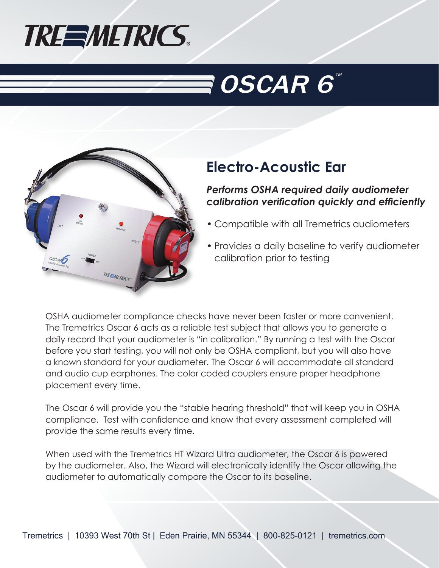

# $\bar{\mathbf{s}}$  OSCAR  $\boldsymbol{6}^{\scriptscriptstyle\times}$



## **Electro-Acoustic Ear**

*Performs OSHA required daily audiometer calibration verification quickly and efficiently*

- Compatible with all Tremetrics audiometers
- Provides a daily baseline to verify audiometer calibration prior to testing

OSHA audiometer compliance checks have never been faster or more convenient. The Tremetrics Oscar 6 acts as a reliable test subject that allows you to generate a daily record that your audiometer is "in calibration." By running a test with the Oscar before you start testing, you will not only be OSHA compliant, but you will also have a known standard for your audiometer. The Oscar 6 will accommodate all standard and audio cup earphones. The color coded couplers ensure proper headphone placement every time.

The Oscar 6 will provide you the "stable hearing threshold" that will keep you in OSHA compliance. Test with confidence and know that every assessment completed will provide the same results every time.

When used with the Tremetrics HT Wizard Ultra audiometer, the Oscar 6 is powered by the audiometer. Also, the Wizard will electronically identify the Oscar allowing the audiometer to automatically compare the Oscar to its baseline.